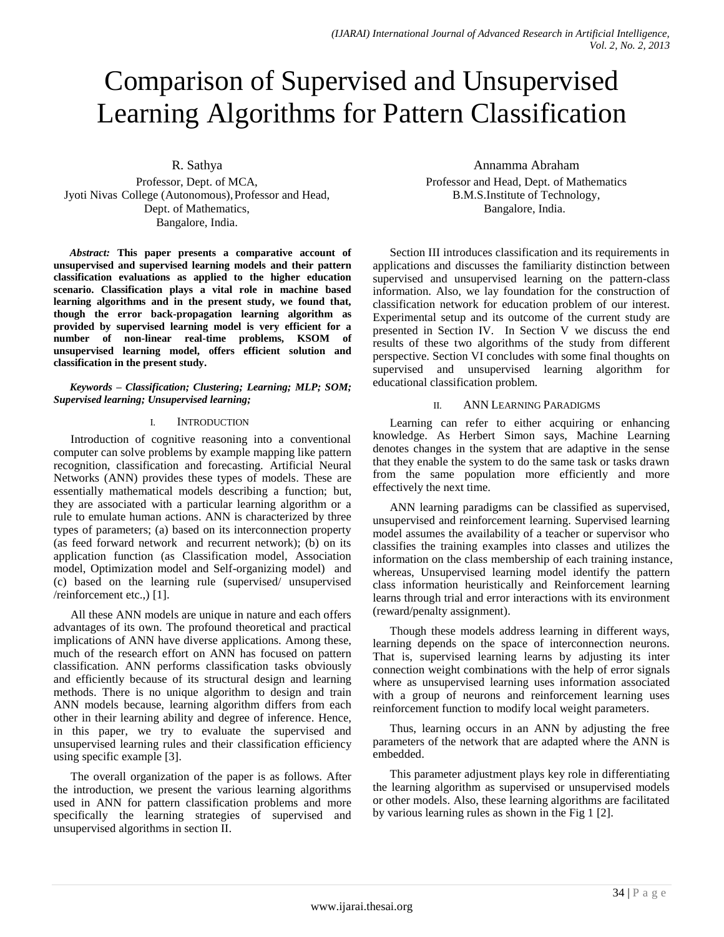# Comparison of Supervised and Unsupervised Learning Algorithms for Pattern Classification

R. Sathya Professor, Dept. of MCA,

Jyoti Nivas College (Autonomous),Professor and Head, Dept. of Mathematics, Bangalore, India.

*Abstract:* **This paper presents a comparative account of unsupervised and supervised learning models and their pattern classification evaluations as applied to the higher education scenario. Classification plays a vital role in machine based learning algorithms and in the present study, we found that, though the error back-propagation learning algorithm as provided by supervised learning model is very efficient for a number of non-linear real-time problems, KSOM of unsupervised learning model, offers efficient solution and classification in the present study.**

*Keywords – Classification; Clustering; Learning; MLP; SOM; Supervised learning; Unsupervised learning;*

## I. INTRODUCTION

Introduction of cognitive reasoning into a conventional computer can solve problems by example mapping like pattern recognition, classification and forecasting. Artificial Neural Networks (ANN) provides these types of models. These are essentially mathematical models describing a function; but, they are associated with a particular learning algorithm or a rule to emulate human actions. ANN is characterized by three types of parameters; (a) based on its interconnection property (as feed forward network and recurrent network); (b) on its application function (as Classification model, Association model, Optimization model and Self-organizing model) and (c) based on the learning rule (supervised/ unsupervised /reinforcement etc.,) [1].

All these ANN models are unique in nature and each offers advantages of its own. The profound theoretical and practical implications of ANN have diverse applications. Among these, much of the research effort on ANN has focused on pattern classification. ANN performs classification tasks obviously and efficiently because of its structural design and learning methods. There is no unique algorithm to design and train ANN models because, learning algorithm differs from each other in their learning ability and degree of inference. Hence, in this paper, we try to evaluate the supervised and unsupervised learning rules and their classification efficiency using specific example [3].

The overall organization of the paper is as follows. After the introduction, we present the various learning algorithms used in ANN for pattern classification problems and more specifically the learning strategies of supervised and unsupervised algorithms in section II.

Annamma Abraham Professor and Head, Dept. of Mathematics B.M.S.Institute of Technology, Bangalore, India.

Section III introduces classification and its requirements in applications and discusses the familiarity distinction between supervised and unsupervised learning on the pattern-class information. Also, we lay foundation for the construction of classification network for education problem of our interest. Experimental setup and its outcome of the current study are presented in Section IV. In Section V we discuss the end results of these two algorithms of the study from different perspective. Section VI concludes with some final thoughts on supervised and unsupervised learning algorithm for educational classification problem.

# II. ANN LEARNING PARADIGMS

Learning can refer to either acquiring or enhancing knowledge. As Herbert Simon says, Machine Learning denotes changes in the system that are adaptive in the sense that they enable the system to do the same task or tasks drawn from the same population more efficiently and more effectively the next time.

ANN learning paradigms can be classified as supervised, unsupervised and reinforcement learning. Supervised learning model assumes the availability of a teacher or supervisor who classifies the training examples into classes and utilizes the information on the class membership of each training instance, whereas, Unsupervised learning model identify the pattern class information heuristically and Reinforcement learning learns through trial and error interactions with its environment (reward/penalty assignment).

Though these models address learning in different ways, learning depends on the space of interconnection neurons. That is, supervised learning learns by adjusting its inter connection weight combinations with the help of error signals where as unsupervised learning uses information associated with a group of neurons and reinforcement learning uses reinforcement function to modify local weight parameters.

Thus, learning occurs in an ANN by adjusting the free parameters of the network that are adapted where the ANN is embedded.

This parameter adjustment plays key role in differentiating the learning algorithm as supervised or unsupervised models or other models. Also, these learning algorithms are facilitated by various learning rules as shown in the Fig 1 [2].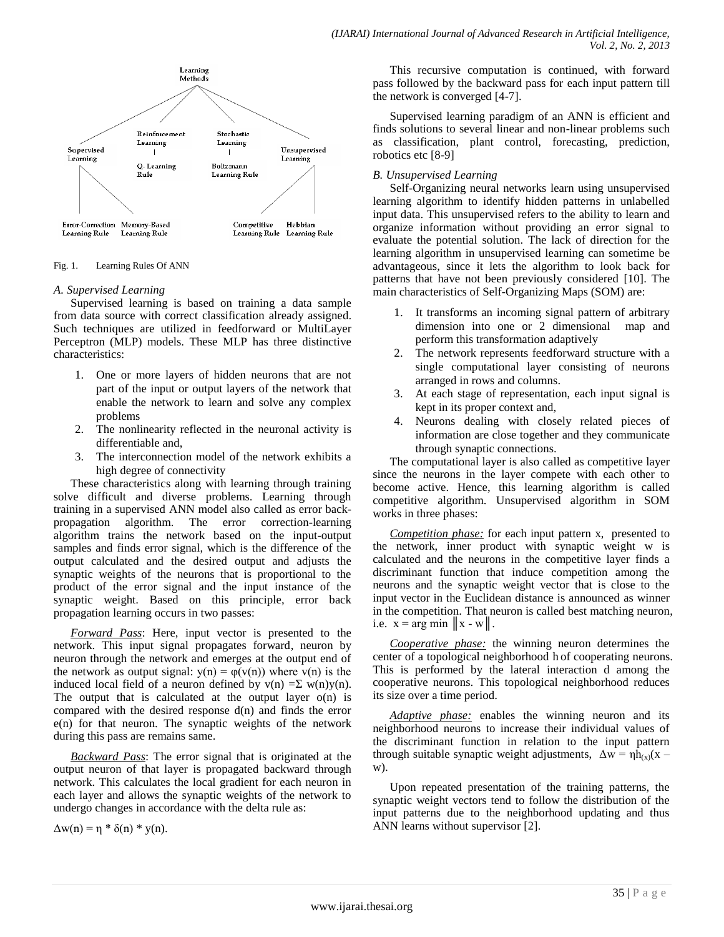

Fig. 1. Learning Rules Of ANN

## *A. Supervised Learning*

Supervised learning is based on training a data sample from data source with correct classification already assigned. Such techniques are utilized in feedforward or MultiLayer Perceptron (MLP) models. These MLP has three distinctive characteristics:

- 1. One or more layers of hidden neurons that are not part of the input or output layers of the network that enable the network to learn and solve any complex problems
- 2. The nonlinearity reflected in the neuronal activity is differentiable and,
- 3. The interconnection model of the network exhibits a high degree of connectivity

These characteristics along with learning through training solve difficult and diverse problems. Learning through training in a supervised ANN model also called as error backpropagation algorithm. The error correction-learning algorithm trains the network based on the input-output samples and finds error signal, which is the difference of the output calculated and the desired output and adjusts the synaptic weights of the neurons that is proportional to the product of the error signal and the input instance of the synaptic weight. Based on this principle, error back propagation learning occurs in two passes:

*Forward Pass*: Here, input vector is presented to the network. This input signal propagates forward, neuron by neuron through the network and emerges at the output end of the network as output signal:  $y(n) = \varphi(y(n))$  where  $y(n)$  is the induced local field of a neuron defined by  $v(n) = \sum w(n)y(n)$ . The output that is calculated at the output layer  $o(n)$  is compared with the desired response d(n) and finds the error e(n) for that neuron. The synaptic weights of the network during this pass are remains same.

*Backward Pass*: The error signal that is originated at the output neuron of that layer is propagated backward through network. This calculates the local gradient for each neuron in each layer and allows the synaptic weights of the network to undergo changes in accordance with the delta rule as:

 $\Delta w(n) = \eta * \delta(n) * y(n)$ .

This recursive computation is continued, with forward pass followed by the backward pass for each input pattern till the network is converged [4-7].

Supervised learning paradigm of an ANN is efficient and finds solutions to several linear and non-linear problems such as classification, plant control, forecasting, prediction, robotics etc [8-9]

# *B. Unsupervised Learning*

Self-Organizing neural networks learn using unsupervised learning algorithm to identify hidden patterns in unlabelled input data. This unsupervised refers to the ability to learn and organize information without providing an error signal to evaluate the potential solution. The lack of direction for the learning algorithm in unsupervised learning can sometime be advantageous, since it lets the algorithm to look back for patterns that have not been previously considered [10]. The main characteristics of Self-Organizing Maps (SOM) are:

- 1. It transforms an incoming signal pattern of arbitrary dimension into one or 2 dimensional map and perform this transformation adaptively
- 2. The network represents feedforward structure with a single computational layer consisting of neurons arranged in rows and columns.
- 3. At each stage of representation, each input signal is kept in its proper context and,
- 4. Neurons dealing with closely related pieces of information are close together and they communicate through synaptic connections.

The computational layer is also called as competitive layer since the neurons in the layer compete with each other to become active. Hence, this learning algorithm is called competitive algorithm. Unsupervised algorithm in SOM works in three phases:

*Competition phase:* for each input pattern x, presented to the network, inner product with synaptic weight w is calculated and the neurons in the competitive layer finds a discriminant function that induce competition among the neurons and the synaptic weight vector that is close to the input vector in the Euclidean distance is announced as winner in the competition. That neuron is called best matching neuron, i.e.  $x = arg min ||x - w||$ .

*Cooperative phase:* the winning neuron determines the center of a topological neighborhood h of cooperating neurons. This is performed by the lateral interaction d among the cooperative neurons. This topological neighborhood reduces its size over a time period.

*Adaptive phase:* enables the winning neuron and its neighborhood neurons to increase their individual values of the discriminant function in relation to the input pattern through suitable synaptic weight adjustments,  $\Delta w = \eta h_{(x)}(x$ w).

Upon repeated presentation of the training patterns, the synaptic weight vectors tend to follow the distribution of the input patterns due to the neighborhood updating and thus ANN learns without supervisor [2].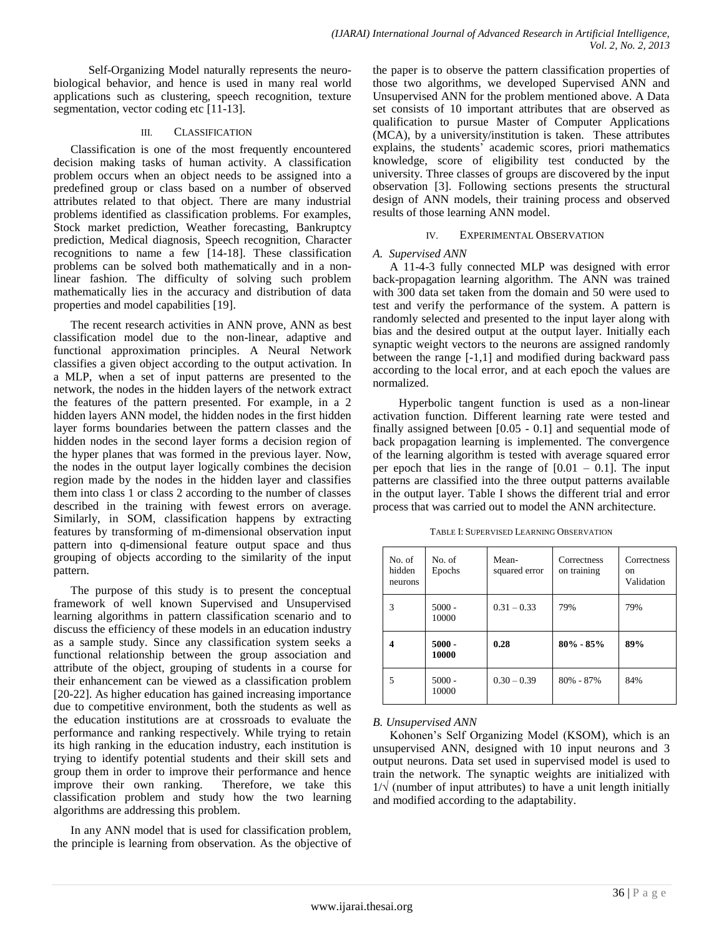Self-Organizing Model naturally represents the neurobiological behavior, and hence is used in many real world applications such as clustering, speech recognition, texture segmentation, vector coding etc [11-13].

#### III. CLASSIFICATION

Classification is one of the most frequently encountered decision making tasks of human activity. A classification problem occurs when an object needs to be assigned into a predefined group or class based on a number of observed attributes related to that object. There are many industrial problems identified as classification problems. For examples, Stock market prediction, Weather forecasting, Bankruptcy prediction, Medical diagnosis, Speech recognition, Character recognitions to name a few [14-18]. These classification problems can be solved both mathematically and in a nonlinear fashion. The difficulty of solving such problem mathematically lies in the accuracy and distribution of data properties and model capabilities [19].

The recent research activities in ANN prove, ANN as best classification model due to the non-linear, adaptive and functional approximation principles. A Neural Network classifies a given object according to the output activation. In a MLP, when a set of input patterns are presented to the network, the nodes in the hidden layers of the network extract the features of the pattern presented. For example, in a 2 hidden layers ANN model, the hidden nodes in the first hidden layer forms boundaries between the pattern classes and the hidden nodes in the second layer forms a decision region of the hyper planes that was formed in the previous layer. Now, the nodes in the output layer logically combines the decision region made by the nodes in the hidden layer and classifies them into class 1 or class 2 according to the number of classes described in the training with fewest errors on average. Similarly, in SOM, classification happens by extracting features by transforming of m-dimensional observation input pattern into q-dimensional feature output space and thus grouping of objects according to the similarity of the input pattern.

The purpose of this study is to present the conceptual framework of well known Supervised and Unsupervised learning algorithms in pattern classification scenario and to discuss the efficiency of these models in an education industry as a sample study. Since any classification system seeks a functional relationship between the group association and attribute of the object, grouping of students in a course for their enhancement can be viewed as a classification problem [20-22]. As higher education has gained increasing importance due to competitive environment, both the students as well as the education institutions are at crossroads to evaluate the performance and ranking respectively. While trying to retain its high ranking in the education industry, each institution is trying to identify potential students and their skill sets and group them in order to improve their performance and hence improve their own ranking. Therefore, we take this classification problem and study how the two learning algorithms are addressing this problem.

In any ANN model that is used for classification problem, the principle is learning from observation. As the objective of the paper is to observe the pattern classification properties of those two algorithms, we developed Supervised ANN and Unsupervised ANN for the problem mentioned above. A Data set consists of 10 important attributes that are observed as qualification to pursue Master of Computer Applications (MCA), by a university/institution is taken. These attributes explains, the students' academic scores, priori mathematics knowledge, score of eligibility test conducted by the university. Three classes of groups are discovered by the input observation [3]. Following sections presents the structural design of ANN models, their training process and observed results of those learning ANN model.

#### IV. EXPERIMENTAL OBSERVATION

#### *A. Supervised ANN*

A 11-4-3 fully connected MLP was designed with error back-propagation learning algorithm. The ANN was trained with 300 data set taken from the domain and 50 were used to test and verify the performance of the system. A pattern is randomly selected and presented to the input layer along with bias and the desired output at the output layer. Initially each synaptic weight vectors to the neurons are assigned randomly between the range [-1,1] and modified during backward pass according to the local error, and at each epoch the values are normalized.

 Hyperbolic tangent function is used as a non-linear activation function. Different learning rate were tested and finally assigned between [0.05 - 0.1] and sequential mode of back propagation learning is implemented. The convergence of the learning algorithm is tested with average squared error per epoch that lies in the range of  $[0.01 - 0.1]$ . The input patterns are classified into the three output patterns available in the output layer. Table I shows the different trial and error process that was carried out to model the ANN architecture.

| TABLE I: SUPERVISED LEARNING OBSERVATION |  |
|------------------------------------------|--|
|------------------------------------------|--|

| No. of<br>hidden<br>neurons | No. of<br>Epochs  | Mean-<br>squared error | Correctness<br>on training | Correctness<br><sub>on</sub><br>Validation |
|-----------------------------|-------------------|------------------------|----------------------------|--------------------------------------------|
| 3                           | $5000 -$<br>10000 | $0.31 - 0.33$          | 79%                        | 79%                                        |
| 4                           | $5000 -$<br>10000 | 0.28                   | $80\% - 85\%$              | 89%                                        |
| 5                           | $5000 -$<br>10000 | $0.30 - 0.39$          | 80% - 87%                  | 84%                                        |

#### *B. Unsupervised ANN*

Kohonen's Self Organizing Model (KSOM), which is an unsupervised ANN, designed with 10 input neurons and 3 output neurons. Data set used in supervised model is used to train the network. The synaptic weights are initialized with  $1/\sqrt{}$  (number of input attributes) to have a unit length initially and modified according to the adaptability.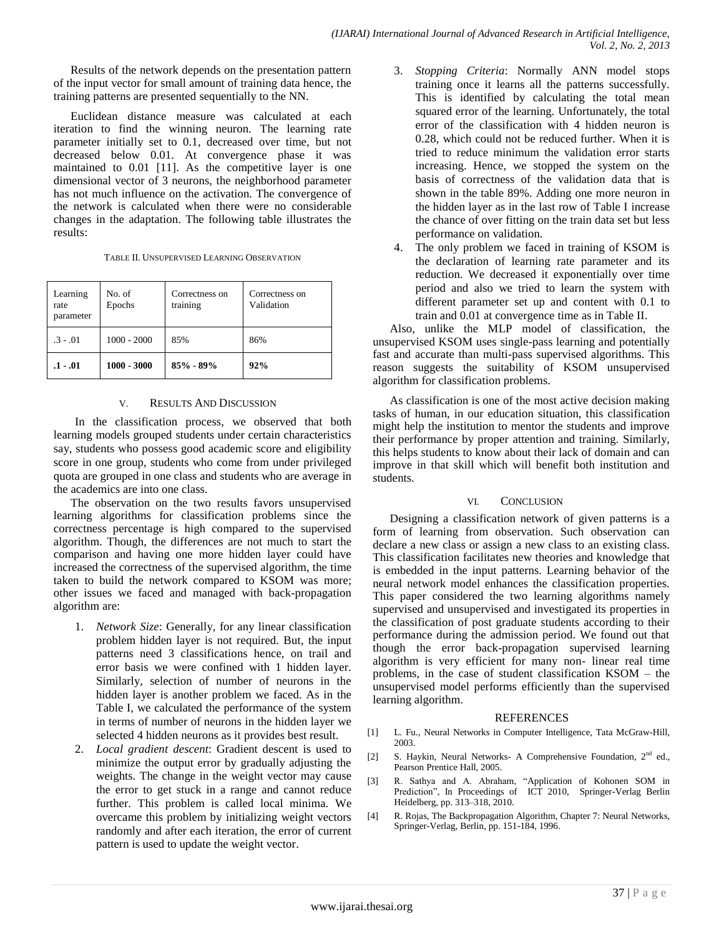Results of the network depends on the presentation pattern of the input vector for small amount of training data hence, the training patterns are presented sequentially to the NN.

Euclidean distance measure was calculated at each iteration to find the winning neuron. The learning rate parameter initially set to 0.1, decreased over time, but not decreased below 0.01. At convergence phase it was maintained to 0.01 [11]. As the competitive layer is one dimensional vector of 3 neurons, the neighborhood parameter has not much influence on the activation. The convergence of the network is calculated when there were no considerable changes in the adaptation. The following table illustrates the results:

| Learning<br>rate<br>parameter | No. of<br>Epochs | Correctness on<br>training | Correctness on<br>Validation |
|-------------------------------|------------------|----------------------------|------------------------------|
| $.3 - .01$                    | $1000 - 2000$    | 85%                        | 86%                          |
| .1 - .01                      | $1000 - 3000$    | $85\% - 89\%$              | 92%                          |

#### V. RESULTS AND DISCUSSION

In the classification process, we observed that both learning models grouped students under certain characteristics say, students who possess good academic score and eligibility score in one group, students who come from under privileged quota are grouped in one class and students who are average in the academics are into one class.

The observation on the two results favors unsupervised learning algorithms for classification problems since the correctness percentage is high compared to the supervised algorithm. Though, the differences are not much to start the comparison and having one more hidden layer could have increased the correctness of the supervised algorithm, the time taken to build the network compared to KSOM was more; other issues we faced and managed with back-propagation algorithm are:

- 1. *Network Size*: Generally, for any linear classification problem hidden layer is not required. But, the input patterns need 3 classifications hence, on trail and error basis we were confined with 1 hidden layer. Similarly, selection of number of neurons in the hidden layer is another problem we faced. As in the Table I, we calculated the performance of the system in terms of number of neurons in the hidden layer we selected 4 hidden neurons as it provides best result.
- 2. *Local gradient descent*: Gradient descent is used to minimize the output error by gradually adjusting the weights. The change in the weight vector may cause the error to get stuck in a range and cannot reduce further. This problem is called local minima. We overcame this problem by initializing weight vectors randomly and after each iteration, the error of current pattern is used to update the weight vector.
- 3. *Stopping Criteria*: Normally ANN model stops training once it learns all the patterns successfully. This is identified by calculating the total mean squared error of the learning. Unfortunately, the total error of the classification with 4 hidden neuron is 0.28, which could not be reduced further. When it is tried to reduce minimum the validation error starts increasing. Hence, we stopped the system on the basis of correctness of the validation data that is shown in the table 89%. Adding one more neuron in the hidden layer as in the last row of Table I increase the chance of over fitting on the train data set but less performance on validation.
- 4. The only problem we faced in training of KSOM is the declaration of learning rate parameter and its reduction. We decreased it exponentially over time period and also we tried to learn the system with different parameter set up and content with 0.1 to train and 0.01 at convergence time as in Table II.

Also, unlike the MLP model of classification, the unsupervised KSOM uses single-pass learning and potentially fast and accurate than multi-pass supervised algorithms. This reason suggests the suitability of KSOM unsupervised algorithm for classification problems.

As classification is one of the most active decision making tasks of human, in our education situation, this classification might help the institution to mentor the students and improve their performance by proper attention and training. Similarly, this helps students to know about their lack of domain and can improve in that skill which will benefit both institution and students.

#### VI. CONCLUSION

Designing a classification network of given patterns is a form of learning from observation. Such observation can declare a new class or assign a new class to an existing class. This classification facilitates new theories and knowledge that is embedded in the input patterns. Learning behavior of the neural network model enhances the classification properties. This paper considered the two learning algorithms namely supervised and unsupervised and investigated its properties in the classification of post graduate students according to their performance during the admission period. We found out that though the error back-propagation supervised learning algorithm is very efficient for many non- linear real time problems, in the case of student classification KSOM – the unsupervised model performs efficiently than the supervised learning algorithm.

#### REFERENCES

- [1] L. Fu., Neural Networks in Computer Intelligence, Tata McGraw-Hill, 2003.
- [2] S. Haykin, Neural Networks- A Comprehensive Foundation,  $2<sup>nd</sup>$  ed., Pearson Prentice Hall, 2005.
- [3] R. Sathya and A. Abraham, "Application of Kohonen SOM in Prediction", In Proceedings of ICT 2010, Springer-Verlag Berlin Heidelberg, pp. 313–318, 2010.
- [4] R. Rojas, The Backpropagation Algorithm, Chapter 7: Neural Networks, Springer-Verlag, Berlin, pp. 151-184, 1996.